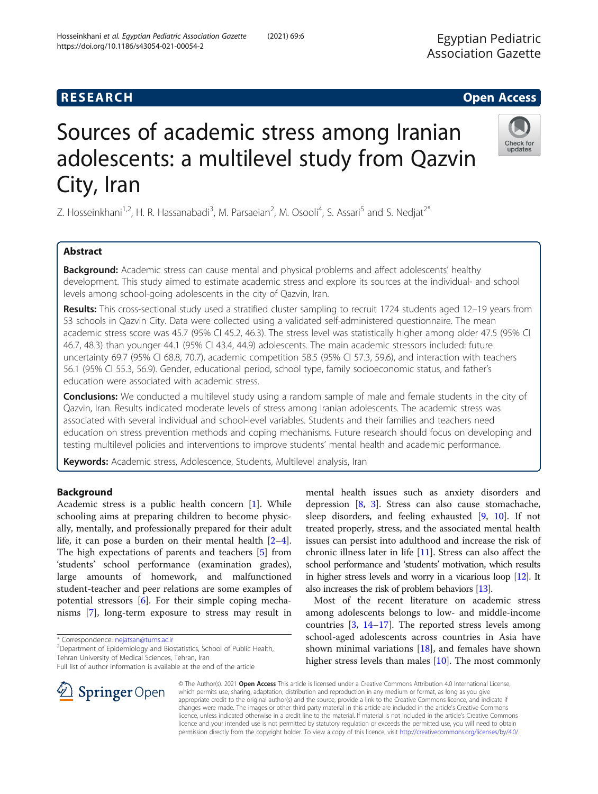# Sources of academic stress among Iranian adolescents: a multilevel study from Qazvin City, Iran

Z. Hosseinkhani<sup>1,2</sup>, H. R. Hassanabadi<sup>3</sup>, M. Parsaeian<sup>2</sup>, M. Osooli<sup>4</sup>, S. Assari<sup>5</sup> and S. Nedjat<sup>2\*</sup>

# Abstract

**Background:** Academic stress can cause mental and physical problems and affect adolescents' healthy development. This study aimed to estimate academic stress and explore its sources at the individual- and school levels among school-going adolescents in the city of Qazvin, Iran.

Results: This cross-sectional study used a stratified cluster sampling to recruit 1724 students aged 12–19 years from 53 schools in Qazvin City. Data were collected using a validated self-administered questionnaire. The mean academic stress score was 45.7 (95% CI 45.2, 46.3). The stress level was statistically higher among older 47.5 (95% CI 46.7, 48.3) than younger 44.1 (95% CI 43.4, 44.9) adolescents. The main academic stressors included: future uncertainty 69.7 (95% CI 68.8, 70.7), academic competition 58.5 (95% CI 57.3, 59.6), and interaction with teachers 56.1 (95% CI 55.3, 56.9). Gender, educational period, school type, family socioeconomic status, and father's education were associated with academic stress.

**Conclusions:** We conducted a multilevel study using a random sample of male and female students in the city of Qazvin, Iran. Results indicated moderate levels of stress among Iranian adolescents. The academic stress was associated with several individual and school-level variables. Students and their families and teachers need education on stress prevention methods and coping mechanisms. Future research should focus on developing and testing multilevel policies and interventions to improve students' mental health and academic performance.

Keywords: Academic stress, Adolescence, Students, Multilevel analysis, Iran

# Background

Academic stress is a public health concern [[1\]](#page-7-0). While schooling aims at preparing children to become physically, mentally, and professionally prepared for their adult life, it can pose a burden on their mental health [\[2](#page-7-0)–[4](#page-7-0)]. The high expectations of parents and teachers [[5\]](#page-7-0) from 'students' school performance (examination grades), large amounts of homework, and malfunctioned student-teacher and peer relations are some examples of potential stressors [\[6](#page-7-0)]. For their simple coping mechanisms [[7\]](#page-7-0), long-term exposure to stress may result in

\* Correspondence: [nejatsan@tums.ac.ir](mailto:nejatsan@tums.ac.ir) <sup>2</sup>

 $\perp$  Springer Open

<sup>2</sup> Department of Epidemiology and Biostatistics, School of Public Health, Tehran University of Medical Sciences, Tehran, Iran

Full list of author information is available at the end of the article

mental health issues such as anxiety disorders and depression  $[8, 3]$  $[8, 3]$  $[8, 3]$  $[8, 3]$  $[8, 3]$ . Stress can also cause stomachache, sleep disorders, and feeling exhausted [\[9](#page-7-0), [10\]](#page-7-0). If not treated properly, stress, and the associated mental health issues can persist into adulthood and increase the risk of chronic illness later in life [[11](#page-7-0)]. Stress can also affect the school performance and 'students' motivation, which results in higher stress levels and worry in a vicarious loop [\[12](#page-7-0)]. It also increases the risk of problem behaviors [[13\]](#page-7-0).

Most of the recent literature on academic stress among adolescents belongs to low- and middle-income countries [\[3](#page-7-0), [14](#page-7-0)–[17](#page-8-0)]. The reported stress levels among school-aged adolescents across countries in Asia have shown minimal variations  $[18]$  $[18]$  $[18]$ , and females have shown higher stress levels than males [[10\]](#page-7-0). The most commonly

© The Author(s). 2021 Open Access This article is licensed under a Creative Commons Attribution 4.0 International License, which permits use, sharing, adaptation, distribution and reproduction in any medium or format, as long as you give appropriate credit to the original author(s) and the source, provide a link to the Creative Commons licence, and indicate if changes were made. The images or other third party material in this article are included in the article's Creative Commons licence, unless indicated otherwise in a credit line to the material. If material is not included in the article's Creative Commons licence and your intended use is not permitted by statutory regulation or exceeds the permitted use, you will need to obtain permission directly from the copyright holder. To view a copy of this licence, visit <http://creativecommons.org/licenses/by/4.0/>.







Egyptian Pediatric Association Gazette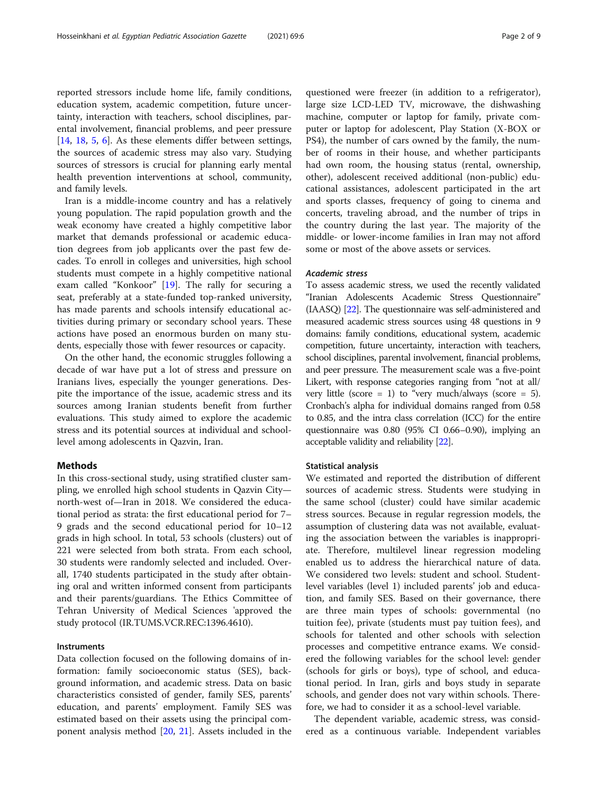reported stressors include home life, family conditions, education system, academic competition, future uncertainty, interaction with teachers, school disciplines, parental involvement, financial problems, and peer pressure [[14,](#page-7-0) [18](#page-8-0), [5](#page-7-0), [6\]](#page-7-0). As these elements differ between settings, the sources of academic stress may also vary. Studying sources of stressors is crucial for planning early mental health prevention interventions at school, community, and family levels.

Iran is a middle-income country and has a relatively young population. The rapid population growth and the weak economy have created a highly competitive labor market that demands professional or academic education degrees from job applicants over the past few decades. To enroll in colleges and universities, high school students must compete in a highly competitive national exam called "Konkoor" [\[19](#page-8-0)]. The rally for securing a seat, preferably at a state-funded top-ranked university, has made parents and schools intensify educational activities during primary or secondary school years. These actions have posed an enormous burden on many students, especially those with fewer resources or capacity.

On the other hand, the economic struggles following a decade of war have put a lot of stress and pressure on Iranians lives, especially the younger generations. Despite the importance of the issue, academic stress and its sources among Iranian students benefit from further evaluations. This study aimed to explore the academic stress and its potential sources at individual and schoollevel among adolescents in Qazvin, Iran.

# Methods

In this cross-sectional study, using stratified cluster sampling, we enrolled high school students in Qazvin City north-west of—Iran in 2018. We considered the educational period as strata: the first educational period for 7– 9 grads and the second educational period for 10–12 grads in high school. In total, 53 schools (clusters) out of 221 were selected from both strata. From each school, 30 students were randomly selected and included. Overall, 1740 students participated in the study after obtaining oral and written informed consent from participants and their parents/guardians. The Ethics Committee of Tehran University of Medical Sciences 'approved the study protocol (IR.TUMS.VCR.REC:1396.4610).

# Instruments

Data collection focused on the following domains of information: family socioeconomic status (SES), background information, and academic stress. Data on basic characteristics consisted of gender, family SES, parents' education, and parents' employment. Family SES was estimated based on their assets using the principal component analysis method [[20](#page-8-0), [21](#page-8-0)]. Assets included in the

questioned were freezer (in addition to a refrigerator), large size LCD-LED TV, microwave, the dishwashing machine, computer or laptop for family, private computer or laptop for adolescent, Play Station (X-BOX or PS4), the number of cars owned by the family, the number of rooms in their house, and whether participants had own room, the housing status (rental, ownership, other), adolescent received additional (non-public) educational assistances, adolescent participated in the art and sports classes, frequency of going to cinema and concerts, traveling abroad, and the number of trips in the country during the last year. The majority of the middle- or lower-income families in Iran may not afford some or most of the above assets or services.

# Academic stress

To assess academic stress, we used the recently validated "Iranian Adolescents Academic Stress Questionnaire" (IAASQ) [\[22\]](#page-8-0). The questionnaire was self-administered and measured academic stress sources using 48 questions in 9 domains: family conditions, educational system, academic competition, future uncertainty, interaction with teachers, school disciplines, parental involvement, financial problems, and peer pressure. The measurement scale was a five-point Likert, with response categories ranging from "not at all/ very little (score = 1) to "very much/always (score = 5). Cronbach's alpha for individual domains ranged from 0.58 to 0.85, and the intra class correlation (ICC) for the entire questionnaire was 0.80 (95% CI 0.66–0.90), implying an acceptable validity and reliability [\[22](#page-8-0)].

### Statistical analysis

We estimated and reported the distribution of different sources of academic stress. Students were studying in the same school (cluster) could have similar academic stress sources. Because in regular regression models, the assumption of clustering data was not available, evaluating the association between the variables is inappropriate. Therefore, multilevel linear regression modeling enabled us to address the hierarchical nature of data. We considered two levels: student and school. Studentlevel variables (level 1) included parents' job and education, and family SES. Based on their governance, there are three main types of schools: governmental (no tuition fee), private (students must pay tuition fees), and schools for talented and other schools with selection processes and competitive entrance exams. We considered the following variables for the school level: gender (schools for girls or boys), type of school, and educational period. In Iran, girls and boys study in separate schools, and gender does not vary within schools. Therefore, we had to consider it as a school-level variable.

The dependent variable, academic stress, was considered as a continuous variable. Independent variables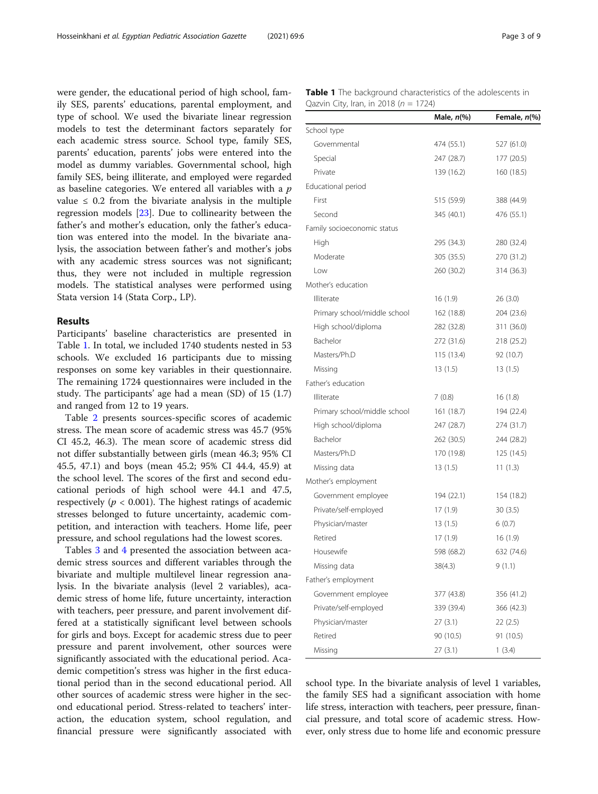were gender, the educational period of high school, family SES, parents' educations, parental employment, and type of school. We used the bivariate linear regression models to test the determinant factors separately for each academic stress source. School type, family SES, parents' education, parents' jobs were entered into the model as dummy variables. Governmental school, high family SES, being illiterate, and employed were regarded as baseline categories. We entered all variables with a  $p$ value  $\leq$  0.2 from the bivariate analysis in the multiple regression models [[23](#page-8-0)]. Due to collinearity between the father's and mother's education, only the father's education was entered into the model. In the bivariate analysis, the association between father's and mother's jobs with any academic stress sources was not significant; thus, they were not included in multiple regression models. The statistical analyses were performed using Stata version 14 (Stata Corp., LP).

# Results

Participants' baseline characteristics are presented in Table 1. In total, we included 1740 students nested in 53 schools. We excluded 16 participants due to missing responses on some key variables in their questionnaire. The remaining 1724 questionnaires were included in the study. The participants' age had a mean (SD) of 15 (1.7) and ranged from 12 to 19 years.

Table [2](#page-3-0) presents sources-specific scores of academic stress. The mean score of academic stress was 45.7 (95% CI 45.2, 46.3). The mean score of academic stress did not differ substantially between girls (mean 46.3; 95% CI 45.5, 47.1) and boys (mean 45.2; 95% CI 44.4, 45.9) at the school level. The scores of the first and second educational periods of high school were 44.1 and 47.5, respectively ( $p < 0.001$ ). The highest ratings of academic stresses belonged to future uncertainty, academic competition, and interaction with teachers. Home life, peer pressure, and school regulations had the lowest scores.

Tables [3](#page-4-0) and [4](#page-5-0) presented the association between academic stress sources and different variables through the bivariate and multiple multilevel linear regression analysis. In the bivariate analysis (level 2 variables), academic stress of home life, future uncertainty, interaction with teachers, peer pressure, and parent involvement differed at a statistically significant level between schools for girls and boys. Except for academic stress due to peer pressure and parent involvement, other sources were significantly associated with the educational period. Academic competition's stress was higher in the first educational period than in the second educational period. All other sources of academic stress were higher in the second educational period. Stress-related to teachers' interaction, the education system, school regulation, and financial pressure were significantly associated with Table 1 The background characteristics of the adolescents in Oazvin City, Iran, in 2018 ( $n = 1724$ )

|                              | Male, $n\llap/$ | Female, n(%) |
|------------------------------|-----------------|--------------|
| School type                  |                 |              |
| Governmental                 | 474 (55.1)      | 527 (61.0)   |
| Special                      | 247 (28.7)      | 177 (20.5)   |
| Private                      | 139 (16.2)      | 160 (18.5)   |
| Educational period           |                 |              |
| First                        | 515 (59.9)      | 388 (44.9)   |
| Second                       | 345 (40.1)      | 476 (55.1)   |
| Family socioeconomic status  |                 |              |
| High                         | 295 (34.3)      | 280 (32.4)   |
| Moderate                     | 305 (35.5)      | 270 (31.2)   |
| Low                          | 260 (30.2)      | 314 (36.3)   |
| Mother's education           |                 |              |
| Illiterate                   | 16(1.9)         | 26(3.0)      |
| Primary school/middle school | 162 (18.8)      | 204 (23.6)   |
| High school/diploma          | 282 (32.8)      | 311 (36.0)   |
| Bachelor                     | 272 (31.6)      | 218 (25.2)   |
| Masters/Ph.D                 | 115 (13.4)      | 92 (10.7)    |
| Missing                      | 13(1.5)         | 13 (1.5)     |
| Father's education           |                 |              |
| Illiterate                   | 7(0.8)          | 16(1.8)      |
| Primary school/middle school | 161 (18.7)      | 194 (22.4)   |
| High school/diploma          | 247 (28.7)      | 274 (31.7)   |
| Bachelor                     | 262 (30.5)      | 244 (28.2)   |
| Masters/Ph.D                 | 170 (19.8)      | 125 (14.5)   |
| Missing data                 | 13 (1.5)        | 11(1.3)      |
| Mother's employment          |                 |              |
| Government employee          | 194 (22.1)      | 154 (18.2)   |
| Private/self-employed        | 17(1.9)         | 30(3.5)      |
| Physician/master             | 13(1.5)         | 6(0.7)       |
| Retired                      | 17(1.9)         | 16 (1.9)     |
| Housewife                    | 598 (68.2)      | 632 (74.6)   |
| Missing data                 | 38(4.3)         | 9 (1.1)      |
| Father's employment          |                 |              |
| Government employee          | 377 (43.8)      | 356 (41.2)   |
| Private/self-employed        | 339 (39.4)      | 366 (42.3)   |
| Physician/master             | 27(3.1)         | 22 (2.5)     |
| Retired                      | 90 (10.5)       | 91 (10.5)    |
| Missing                      | 27(3.1)         | 1(3.4)       |

school type. In the bivariate analysis of level 1 variables, the family SES had a significant association with home life stress, interaction with teachers, peer pressure, financial pressure, and total score of academic stress. However, only stress due to home life and economic pressure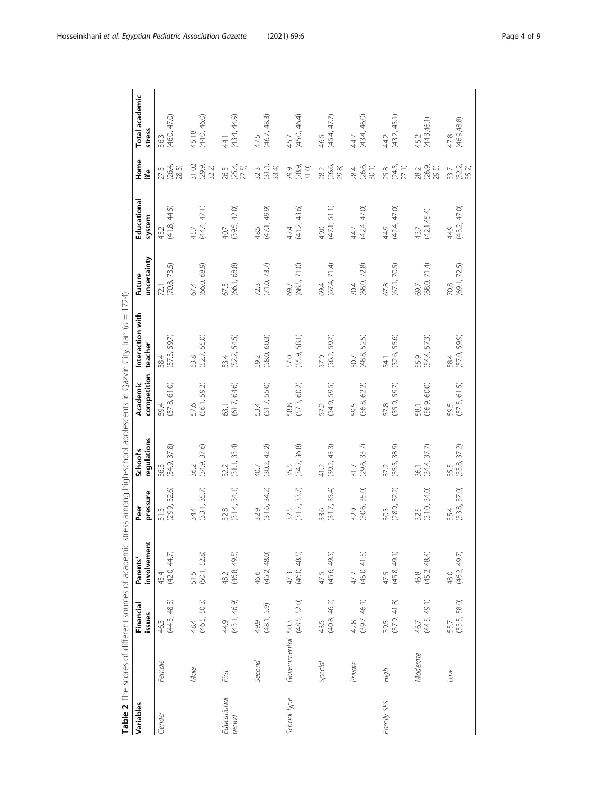|                       |                   |                      |                          |                         |                         |                         |                             | ニュー                     |                       |                                 |                          |
|-----------------------|-------------------|----------------------|--------------------------|-------------------------|-------------------------|-------------------------|-----------------------------|-------------------------|-----------------------|---------------------------------|--------------------------|
| Variables             |                   | Financial<br>issues  | involvement<br>Parents'  | pressure<br>Peer        | regulations<br>School's | competition<br>Academic | Interaction with<br>teacher | uncertainty<br>Future   | Educational<br>system | Home<br>life                    | Total academic<br>stress |
| Gender                | Female            | (44.3, 48.3)<br>46.3 | (42.0, 44.7)<br>43.4     | (29.9, 32.6)<br>31.3    | (34.9, 37.8)<br>36.3    | 61.0)<br>(57.8,<br>59.4 | (57.3, 59.7)<br>58.4        | 73.5)<br>(70.8,<br>72.1 | (41.8, 44.5)<br>43.2  | (26.4, 28.5)<br>27.5            | (46.0, 47.0)<br>36.3     |
|                       | Male              | (46.5, 50.3)<br>484  | (50.1, 52.8)<br>51.5     | (33.1, 35.7)<br>34.4    | (34.9, 37.6)<br>36.2    | (56.1, 59.2)<br>57.6    | (52.7, 55.0)<br>53.8        | (66.0, 68.9)<br>67.4    | (44.4, 47.1)<br>45.7  | 31.02<br>(29.9,<br>32.2)        | (44.0, 46.0)<br>45.18    |
| Educational<br>period | First             | (43.1, 46.9)<br>44.9 | (46.8, 49.5)<br>48.2     | (31.4, 34.1)<br>32.8    | (31.1, 33.4)<br>32.2    | (61.7, 64.6)<br>63.1    | 54.5)<br>(52.2,<br>53.4     | (66.1, 68.8)<br>67.5    | (39.5, 42.0)<br>40.7  | 26.5<br>(25.4,<br>27.5)         | (43.4, 44.9)<br>44.1     |
|                       | Second            | (48.1, 5.9)<br>49.9  | 46.6<br>(45.2, 48.0)     | (31.6, 34.2)<br>32.9    | (30.2, 42.2)<br>40.7    | (51.7, 55.0)<br>53.4    | 60.3)<br>(58.0,<br>59.2     | (71.0, 73.7)<br>72.3    | (47.1, 49.9)<br>48.5  | $32.3$<br>$(31.1, 4)$<br>$33.4$ | (46.7, 48.3)<br>47.5     |
| School type           | Governmental 50.3 | (48.5, 52.0)         | (46.0, 48.5)<br>47.3     | 33.7)<br>(31.2,<br>32.5 | (34.2, 36.8)<br>35.5    | 60.2)<br>(57.3,<br>58.8 | 58.1)<br>(55.9,<br>57.0     | 71.0)<br>(68.5,<br>69.7 | (41.2, 43.6)<br>42.4  | (28.9, 31.0)<br>29.9            | (45.0, 46.4)<br>45.7     |
|                       | Special           | (40.8, 46.2)<br>43.5 | 47.5<br>(45.6, 49.5)     | (31.7, 35.4)<br>33.6    | (39.2, 43.3)<br>41.2    | (54.9, 59.5)<br>57.2    | 59.7)<br>(56.2,<br>57.9     | (67.4, 71.4)<br>69.4    | (47.1, 51.1)<br>49.0  | 28.2<br>(26.6,<br>29.8)         | (45.4, 47.7)<br>46.5     |
|                       | Private           | (39.7, 46.1)<br>42.8 | (45.0, 41.5)<br>47.7     | 35.0)<br>(30.6,<br>32.9 | 33.7)<br>(29.6)<br>31.7 | 62.2)<br>(56.8,<br>59.5 | 52.5)<br>(48.8,<br>50.7     | 72.8)<br>(68.0,<br>70.4 | (42.4, 47.0)<br>44.7  | 28.4<br>(26.6,<br>30.1)         | (43.4, 46.0)<br>44.7     |
| Family SES            | High              | 39.5<br>(37.9, 41.8) | $47.5$<br>$(45.8, 49.1)$ | (28.9, 32.2)<br>30.5    | (35.5, 38.9)<br>37.2    | (55.9, 59.7)<br>57.8    | 55.6)<br>(52.6,<br>54.1     | (67.1, 70.5)<br>67.8    | (42.4, 47.0)<br>44.9  | 25.8<br>(24.5,<br>27.1)         | (43.2, 45.1)<br>44.2     |
|                       | Moderate          | (44.5, 49.1)<br>46.7 | (45.2, 48.4)<br>46.8     | 34.0)<br>(31.0,<br>32.5 | 37.7)<br>(34.4,<br>36.1 | 60.0)<br>(56.9,<br>58.1 | 57.3)<br>(54.4,<br>55.9     | 71.4<br>(68.0,<br>69.7  | (42.1, 45.4)<br>43.7  | (26.9, 29.5)<br>28.2            | (44.3,46.1)<br>45.2      |
|                       | VO7               | (53.5, 58.0)<br>55.7 | (46.2, 49.7)<br>48.0     | (33.8, 37.0)<br>35.4    | (338, 372)<br>35.5      | (57.5, 61.5)<br>595     | 58.4<br>(57.0, 59.9)        | (69.1, 72.5)<br>70.8    | (43.2, 47.0)<br>44.9  | (32.2, 35.2)<br>33.7            | (46.9, 48.8)<br>47.8     |

Table 2 The scores of different sources of academic stress among high-school adolescents in Qazvin City, Iran (n = 1724)

<span id="page-3-0"></span>Hosseinkhani et al. Egyptian Pediatric Association Gazette (2021) 69:6 Page 4 of 9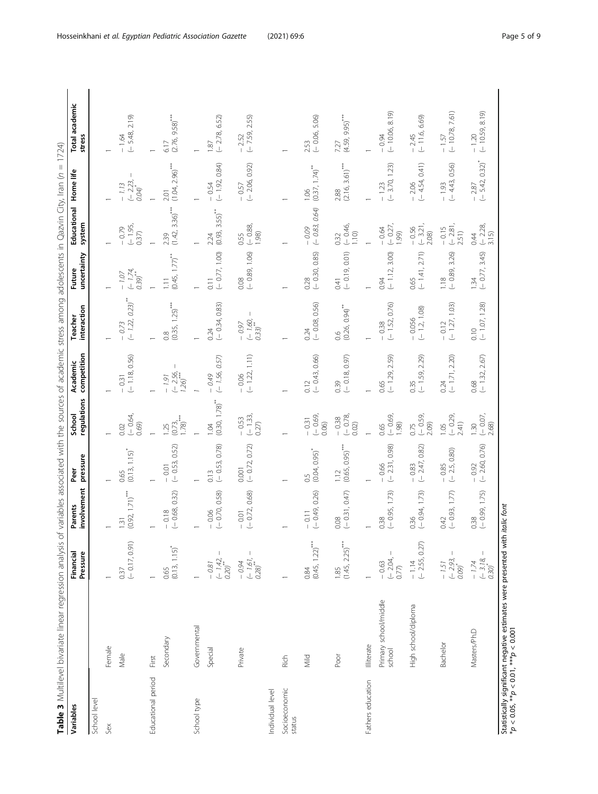| j<br>$\overline{\phantom{a}}$<br>í                 |  |
|----------------------------------------------------|--|
|                                                    |  |
| $\mathbf{  }$<br>Ś                                 |  |
| ś<br>ļ<br>٦                                        |  |
| j<br>֦֧֦֧֦֜<br>)                                   |  |
| í                                                  |  |
| Í<br>$\frac{1}{5}$<br>l<br>j                       |  |
| j<br>$\overline{\phantom{a}}$                      |  |
| }<br>j<br>Ì<br>۱<br>I                              |  |
| ļ<br>ł<br>j<br>j<br>֠                              |  |
| 1<br>١<br>₹<br>j<br>$\mathfrak{c}$<br>١            |  |
| i<br>$\overline{2}$<br>$\overline{ }$<br>ļ         |  |
| $\overline{\mathbf{C}}$<br>$\frac{1}{2}$<br>ļ<br>ļ |  |
| ſ<br>٢<br>١                                        |  |
| ă<br>j<br>Ï<br>ŧ<br>١                              |  |
| I<br>Ē                                             |  |
| ł<br>j<br>S<br>ī                                   |  |
| í<br>֬֕֜֡<br>$\epsilon$<br>j                       |  |
| l<br>i<br>١                                        |  |
| ı<br>i<br>rces<br>i                                |  |
| ś<br>j<br>١                                        |  |
| ł<br>١<br>Į<br>j                                   |  |
|                                                    |  |
| Í<br>i                                             |  |
| Ī<br>I<br>l<br>j                                   |  |
| į<br>١<br>١<br>ł<br>١                              |  |
| i<br>ł<br>١<br>ň<br>١                              |  |
| j<br>ł                                             |  |
| $\overline{\mathbf{C}}$<br>١<br>õ<br>j             |  |
| í<br>١                                             |  |
| ċ<br>١                                             |  |
| Š<br>١<br>١                                        |  |
| ļ<br>٦<br>$\overline{a}$                           |  |
| ł                                                  |  |
| ression                                            |  |
| i<br>١                                             |  |
|                                                    |  |
|                                                    |  |
|                                                    |  |
|                                                    |  |
|                                                    |  |
|                                                    |  |
|                                                    |  |
|                                                    |  |
|                                                    |  |
|                                                    |  |

<span id="page-4-0"></span>

| Variables                                       |                                                                 | Financial<br>Pressure                            | involvement<br>Parents                           | pressure<br>Peer           | regulations<br>School                 | competition<br>Academic                   | interaction<br>Teacher                         | uncertainty<br>Future                           | Educational Home life<br>system       |                                            | Total academic<br>stress                 |
|-------------------------------------------------|-----------------------------------------------------------------|--------------------------------------------------|--------------------------------------------------|----------------------------|---------------------------------------|-------------------------------------------|------------------------------------------------|-------------------------------------------------|---------------------------------------|--------------------------------------------|------------------------------------------|
| School level                                    |                                                                 |                                                  |                                                  |                            |                                       |                                           |                                                |                                                 |                                       |                                            |                                          |
| Sex                                             | Female                                                          |                                                  |                                                  |                            |                                       |                                           |                                                |                                                 |                                       |                                            |                                          |
|                                                 | Male                                                            | $(-0.17, 0.91)$<br>0.37                          | $(0.92, 1.71)$ <sup>***</sup><br>$\overline{31}$ | $(0.13, 1.15)^{*}$<br>0.65 | $(-0.64,$<br>0.69)<br>0.02            | $(-1.18, 0.56)$<br>0.31                   | $(-1.22, 0.23)$ <sup>**</sup><br>0.73          | $(-1.74, 0.39)$<br>$-1.07$                      | $(-1.95,$<br>$-0.79$<br>0.37)         | $\mathbf{I}$<br>$(-2.23, 0.04)$<br>$-1.13$ | $(-5.48, 2.19)$<br>$-1.64$               |
| Educational period                              | First                                                           |                                                  |                                                  |                            |                                       |                                           |                                                |                                                 |                                       |                                            | $\overline{\phantom{0}}$                 |
|                                                 | Secondary                                                       | $(0.13, 1.15)^*$<br>0.65                         | $(-0.68, 0.32)$<br>$-0.18$                       | $(-0.53, 0.52)$<br>$-0.01$ | $\frac{(0.73)}{1.78}$<br>1.25         | $\mathbf{I}$<br>$(-2.56, 120)$<br>$-1.91$ | $(0.35, 1.25)$ <sup>***</sup><br>$\frac{8}{2}$ | $(0.45, 1.77)$ <sup>**</sup><br>$\overline{11}$ | $(1.42, 3.36)$ <sup>***</sup><br>2.39 | $(1.04, 2.96)$ <sup>***</sup><br>2.01      | $9.58)$ <sup>***</sup><br>(2.76,<br>6.17 |
| School type                                     | Governmental                                                    |                                                  |                                                  |                            |                                       |                                           |                                                |                                                 |                                       |                                            | $\overline{\phantom{0}}$                 |
|                                                 | Special                                                         | $(-1.42, 0.20)$<br>$-0.81$                       | $(-0.70, 0.58)$<br>$-0.06$                       | $(-0.53, 0.78)$<br>0.13    | $(0.30, 1.78)$ <sup>**</sup><br>1.04  | $(-1.56, 0.57)$<br>$-0.49$                | $(-0.34, 0.83)$<br>0.24                        | $(-0.77, 1.00)$<br>$\overline{0.11}$            | $(0.93, 3.55)$ **<br>2.24             | $(-1.92, 0.84)$<br>0.54                    | $(-2.78, 6.52)$<br>1.87                  |
|                                                 | Private                                                         | ш<br>$(-1.61, -0.28)$<br>$-0.94$                 | $(-0.72, 0.68)$<br>$-0.01$                       | $(-0.72, 0.72)$<br>0.001   | $(-1.33,$<br>$-0.53$<br>0.27)         | $(-1.22, 1.11)$<br>$-0.06$                | $\mathbb{I}$<br>$(-1.60, 0.33)$<br>$-0.97$     | $0.08$<br>$(-0.89, 1.06)$                       | $(-0.88,$<br>1.98)<br>0.55            | $(-2.06, 0.92)$<br>$-0.57$                 | $(-7.59, 2.55)$<br>$-2.52$               |
| Individual level                                |                                                                 |                                                  |                                                  |                            |                                       |                                           |                                                |                                                 |                                       |                                            |                                          |
| Socioeconomic<br>status                         | Rich                                                            |                                                  |                                                  |                            |                                       |                                           |                                                |                                                 |                                       |                                            |                                          |
|                                                 | Mild                                                            | $(0.45, 1.22)$ <sup>***</sup><br>0.84            | $(-0.49, 0.26)$<br>$-0.11$                       | (0.04, 0.95)<br>0.5        | $(-0.69,$<br>$-0.31$<br>0.06          | $(-0.43, 0.66)$<br>0.12                   | $(-0.08, 0.56)$<br>0.24                        | $(-0.30, 0.85)$<br>0.28                         | $(-0.83, 0.64)$<br>$-0.09$            | $(0.37, 1.74)$ <sup>**</sup><br>1.06       | $(-0.06, 5.06)$<br>2.53                  |
|                                                 | Poor                                                            | $(1.45, 2.25)$ <sup>***</sup><br>1.85            | $(-0.31, 0.47)$<br>0.08                          | $(0.65, 0.95)$ ***<br>112  | $(-0.78,$<br>$-0.38$<br>0.02)         | $(-0.18, 0.97)$<br>0.39                   | $(0.26, 0.94)$ **<br>$\frac{6}{2}$             | $(-0.19, 0.01)$<br>0.41                         | $(-0.46,$<br>1.10<br>0.32             | $(2.16, 3.61)$ ***<br>2.88                 | $(4.59, 9.95)$ ***<br>7.27               |
| Fathers education                               | Illiterate                                                      |                                                  |                                                  |                            |                                       |                                           |                                                |                                                 |                                       |                                            |                                          |
|                                                 | Primary school/middle<br>school                                 | $(-204,$<br>$-0.63$<br>0.77                      | $(-0.95, 1.73)$<br>0.38                          | $(-2.31, 0.98)$<br>$-0.66$ | $(-0.69,$<br>$\widetilde{98}$<br>0.65 | $(-1.29, 2.59)$<br>0.65                   | $(-1.52, 0.76)$<br>$-0.38$                     | $(-1.12, 3.00)$<br>0.94                         | $(-0.27,$<br>$-0.64$<br>1.99)         | $(-3.70, 1.23)$<br>$-1.23$                 | $(-10.06, 8.19)$<br>$-0.94$              |
|                                                 | High school/diploma                                             | $(-2.55, 0.27)$<br>$-1.14$                       | $(-0.94, 1.73)$<br>0.36                          | $(-2.47, 0.82)$<br>$-0.83$ | $(-0.59,$<br>2.09)<br>0.75            | $(-1.59, 2.29)$<br>0.35                   | $(-1.2, 1.08)$<br>0.056                        | $(-1.41, 2.71)$<br>0.65                         | $(-3.21,$<br>$-0.56$<br>2.08)         | $(-4.54, 0.41)$<br>$-2.06$                 | $(-11.6, 6.69)$<br>2.45                  |
|                                                 | <b>Bachelor</b>                                                 | $(-2.93, 0.09)$<br>$-1.51$                       | $(-0.93, 1.77)$<br>0.42                          | $(-2.5, 0.80)$<br>$-0.85$  | $(-0.29,$<br>2.41)<br>1.05            | $(-1.71, 2.20)$<br>0.24                   | $(-1.27, 1.03)$<br>$-0.12$                     | $(-0.89, 3.26)$<br>1.18                         | $(-2.81,$<br>$-0.15$<br>2.51)         | $(-4.43, 0.56)$<br>$-1.93$                 | $(-10.78, 7.61)$<br>$-1.57$              |
|                                                 | Masters/Ph.D                                                    | I<br>$(-3.18,$<br>$-1.74$<br>$0.30$ <sup>*</sup> | $(-0.99, 1.75)$<br>0.38                          | $(-2.60, 0.76)$<br>$-0.92$ | $(-0.07,$<br>2.68)<br>1.30            | $(-1.32, 2.67)$<br>0.68                   | $(-1.07, 1.28)$<br>0.10                        | $(-0.77, 3.45)$<br>1.34                         | $(-2.28,$<br>3.15<br>0.44             | $(-5.42, 0.32)^*$<br>$-2.87$               | $(-10.59, 8.19)$<br>$-1.20$              |
| $*p < 0.05$ , $* p < 0.01$ , $* \neq p < 0.001$ | Statistically significant negative estimates were presented wit |                                                  | h <i>italic</i> font                             |                            |                                       |                                           |                                                |                                                 |                                       |                                            |                                          |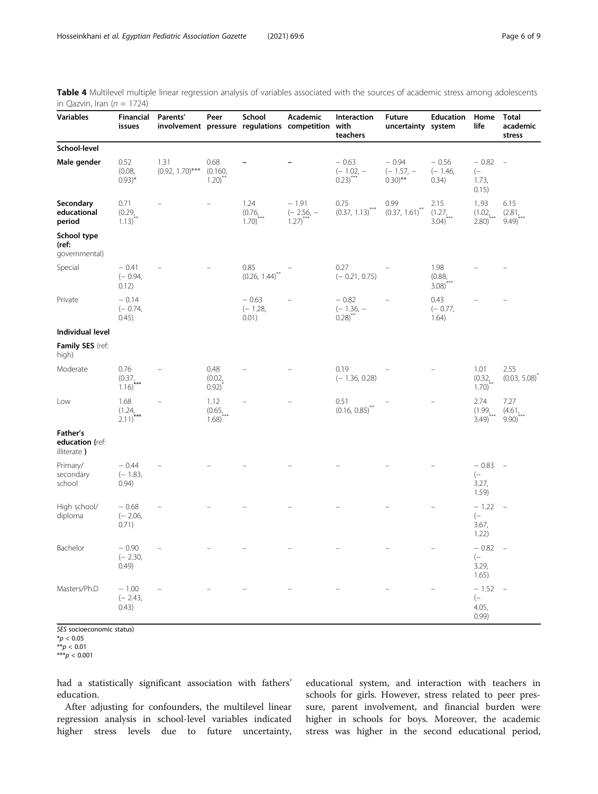<span id="page-5-0"></span>

| Table 4 Multilevel multiple linear regression analysis of variables associated with the sources of academic stress among adolescents |  |  |
|--------------------------------------------------------------------------------------------------------------------------------------|--|--|
| in Qazvin, Iran ( $n = 1724$ )                                                                                                       |  |  |

| <b>Variables</b>                           | Financial<br>issues                                       | Parents'                   | Peer                                   | School                                | Academic<br>involvement pressure regulations competition | Interaction<br>with<br>teachers        | <b>Future</b><br>uncertainty system   | <b>Education</b>                      | Home<br>life                              | Total<br>academic<br>stress |
|--------------------------------------------|-----------------------------------------------------------|----------------------------|----------------------------------------|---------------------------------------|----------------------------------------------------------|----------------------------------------|---------------------------------------|---------------------------------------|-------------------------------------------|-----------------------------|
| School-level                               |                                                           |                            |                                        |                                       |                                                          |                                        |                                       |                                       |                                           |                             |
| Male gender                                | 0.52<br>(0.08,<br>$(0.93)^*$                              | 1.31<br>$(0.92, 1.70)$ *** | 0.68<br>(0.160,<br>$1.20$ <sup>2</sup> |                                       |                                                          | $-0.63$<br>$(-1.02, -$<br>$(0.23)$ *** | $-0.94$<br>$(-1.57, -$<br>$(0.30)$ ** | $-0.56$<br>$(-1.46,$<br>0.34)         | $-0.82$<br>$(-)$<br>1.73,<br>0.15)        | $\overline{\phantom{a}}$    |
| Secondary<br>educational<br>period         | 0.71<br>(0.29)<br>$1.13)$ <sup><math>\hat{ }</math></sup> |                            |                                        | 1.24<br>(0.76)<br>$1.70$ <sup>*</sup> | $-1.91$<br>$(-2.56,-$<br>1.27)                           | 0.75<br>$(0.37, 1.13)$ ***             | 0.99<br>$(0.37, 1.61)^{n}$            | 2.15<br>(1.27)<br>$3.04)^{n}$         | 1.93<br>$(1.02)_{\frac{7}{200}}$<br>2.80) | 6.15<br>(2.81)<br>9.49'     |
| School type<br>(ref:<br>governmental)      |                                                           |                            |                                        |                                       |                                                          |                                        |                                       |                                       |                                           |                             |
| Special                                    | $-0.41$<br>$(-0.94,$<br>0.12)                             |                            |                                        | 0.85<br>(0.26, 1.44)                  |                                                          | 0.27<br>$(-0.21, 0.75)$                |                                       | 1.98<br>(0.88,<br>$3.08$ <sup>c</sup> |                                           |                             |
| Private                                    | $-0.14$<br>$(-0.74,$<br>0.45)                             |                            |                                        | $-0.63$<br>$(-1.28,$<br>0.01)         |                                                          | $-0.82$<br>$(-1.36, -$<br>$0.28$ )     |                                       | 0.43<br>$(-0.77,$<br>1.64)            |                                           |                             |
| Individual level                           |                                                           |                            |                                        |                                       |                                                          |                                        |                                       |                                       |                                           |                             |
| <b>Family SES</b> (ref:<br>high)           |                                                           |                            |                                        |                                       |                                                          |                                        |                                       |                                       |                                           |                             |
| Moderate                                   | 0.76<br>(0.37)<br>1.16)                                   |                            | 0.48<br>(0.02,<br>0.92)                |                                       |                                                          | 0.19<br>$(-1.36, 0.28)$                |                                       |                                       | 1.01<br>(0.32)<br>$1.70$ )                | 2.55<br>(0.03, 5.08)        |
| Low                                        | 1.68<br>(1.24)<br>$2.11)^{n}$                             |                            | 1.12<br>(0.65, 0.05)<br>1.68)          |                                       |                                                          | 0.51<br>$(0.16, 0.85)^{^{\sim}}$       |                                       |                                       | 2.74<br>(1.99,<br>3.49)                   | 7.27<br>(4.61)<br>$9.90$ )  |
| Father's<br>education (ref:<br>illiterate) |                                                           |                            |                                        |                                       |                                                          |                                        |                                       |                                       |                                           |                             |
| Primary/<br>secondary<br>school            | $-0.44$<br>$(-1.83,$<br>0.94)                             |                            |                                        |                                       |                                                          |                                        |                                       |                                       | $-0.83$<br>$(-$<br>3.27,<br>1.59)         | $\sim$                      |
| High school/<br>diploma                    | $-0.68$<br>$(-2.06,$<br>0.71)                             |                            |                                        |                                       |                                                          |                                        |                                       |                                       | $-1.22$<br>$(-)$<br>3.67,<br>1.22)        | $\equiv$                    |
| Bachelor                                   | $-0.90$<br>$(-2.30,$<br>(0.49)                            |                            |                                        |                                       |                                                          |                                        |                                       |                                       | $-0.82$<br>$(-$<br>3.29,<br>1.65)         | $\equiv$                    |
| Masters/Ph.D                               | $-1.00$<br>$(-2.43,$<br>0.43)                             |                            |                                        |                                       |                                                          |                                        |                                       |                                       | $-1.52$<br>$(-$<br>4.05,<br>0.99          | $\equiv$                    |

SES socioeconomic status)

 $^{\ast}p < 0.05$ 

 $^{**}p < 0.01$ 

 $***p < 0.001$ 

had a statistically significant association with fathers' education.

After adjusting for confounders, the multilevel linear regression analysis in school-level variables indicated higher stress levels due to future uncertainty, educational system, and interaction with teachers in schools for girls. However, stress related to peer pressure, parent involvement, and financial burden were higher in schools for boys. Moreover, the academic stress was higher in the second educational period,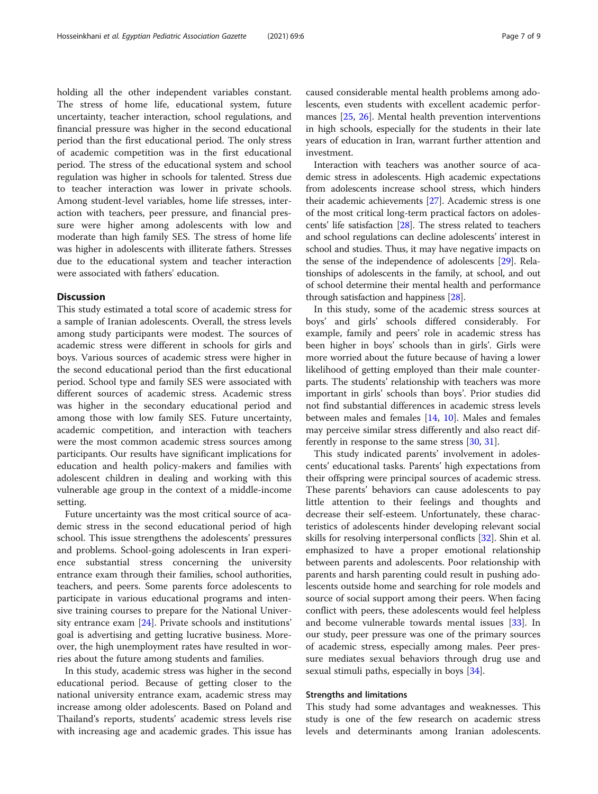holding all the other independent variables constant. The stress of home life, educational system, future uncertainty, teacher interaction, school regulations, and financial pressure was higher in the second educational period than the first educational period. The only stress of academic competition was in the first educational period. The stress of the educational system and school regulation was higher in schools for talented. Stress due to teacher interaction was lower in private schools. Among student-level variables, home life stresses, interaction with teachers, peer pressure, and financial pressure were higher among adolescents with low and moderate than high family SES. The stress of home life was higher in adolescents with illiterate fathers. Stresses due to the educational system and teacher interaction were associated with fathers' education.

# **Discussion**

This study estimated a total score of academic stress for a sample of Iranian adolescents. Overall, the stress levels among study participants were modest. The sources of academic stress were different in schools for girls and boys. Various sources of academic stress were higher in the second educational period than the first educational period. School type and family SES were associated with different sources of academic stress. Academic stress was higher in the secondary educational period and among those with low family SES. Future uncertainty, academic competition, and interaction with teachers were the most common academic stress sources among participants. Our results have significant implications for education and health policy-makers and families with adolescent children in dealing and working with this vulnerable age group in the context of a middle-income setting.

Future uncertainty was the most critical source of academic stress in the second educational period of high school. This issue strengthens the adolescents' pressures and problems. School-going adolescents in Iran experience substantial stress concerning the university entrance exam through their families, school authorities, teachers, and peers. Some parents force adolescents to participate in various educational programs and intensive training courses to prepare for the National University entrance exam [[24\]](#page-8-0). Private schools and institutions' goal is advertising and getting lucrative business. Moreover, the high unemployment rates have resulted in worries about the future among students and families.

In this study, academic stress was higher in the second educational period. Because of getting closer to the national university entrance exam, academic stress may increase among older adolescents. Based on Poland and Thailand's reports, students' academic stress levels rise with increasing age and academic grades. This issue has

caused considerable mental health problems among adolescents, even students with excellent academic performances [\[25,](#page-8-0) [26](#page-8-0)]. Mental health prevention interventions in high schools, especially for the students in their late years of education in Iran, warrant further attention and investment.

Interaction with teachers was another source of academic stress in adolescents. High academic expectations from adolescents increase school stress, which hinders their academic achievements [[27](#page-8-0)]. Academic stress is one of the most critical long-term practical factors on adolescents' life satisfaction [\[28](#page-8-0)]. The stress related to teachers and school regulations can decline adolescents' interest in school and studies. Thus, it may have negative impacts on the sense of the independence of adolescents [\[29\]](#page-8-0). Relationships of adolescents in the family, at school, and out of school determine their mental health and performance through satisfaction and happiness [[28\]](#page-8-0).

In this study, some of the academic stress sources at boys' and girls' schools differed considerably. For example, family and peers' role in academic stress has been higher in boys' schools than in girls'. Girls were more worried about the future because of having a lower likelihood of getting employed than their male counterparts. The students' relationship with teachers was more important in girls' schools than boys'. Prior studies did not find substantial differences in academic stress levels between males and females [\[14,](#page-7-0) [10\]](#page-7-0). Males and females may perceive similar stress differently and also react differently in response to the same stress [[30](#page-8-0), [31](#page-8-0)].

This study indicated parents' involvement in adolescents' educational tasks. Parents' high expectations from their offspring were principal sources of academic stress. These parents' behaviors can cause adolescents to pay little attention to their feelings and thoughts and decrease their self-esteem. Unfortunately, these characteristics of adolescents hinder developing relevant social skills for resolving interpersonal conflicts [\[32](#page-8-0)]. Shin et al. emphasized to have a proper emotional relationship between parents and adolescents. Poor relationship with parents and harsh parenting could result in pushing adolescents outside home and searching for role models and source of social support among their peers. When facing conflict with peers, these adolescents would feel helpless and become vulnerable towards mental issues [[33\]](#page-8-0). In our study, peer pressure was one of the primary sources of academic stress, especially among males. Peer pressure mediates sexual behaviors through drug use and sexual stimuli paths, especially in boys [[34\]](#page-8-0).

# Strengths and limitations

This study had some advantages and weaknesses. This study is one of the few research on academic stress levels and determinants among Iranian adolescents.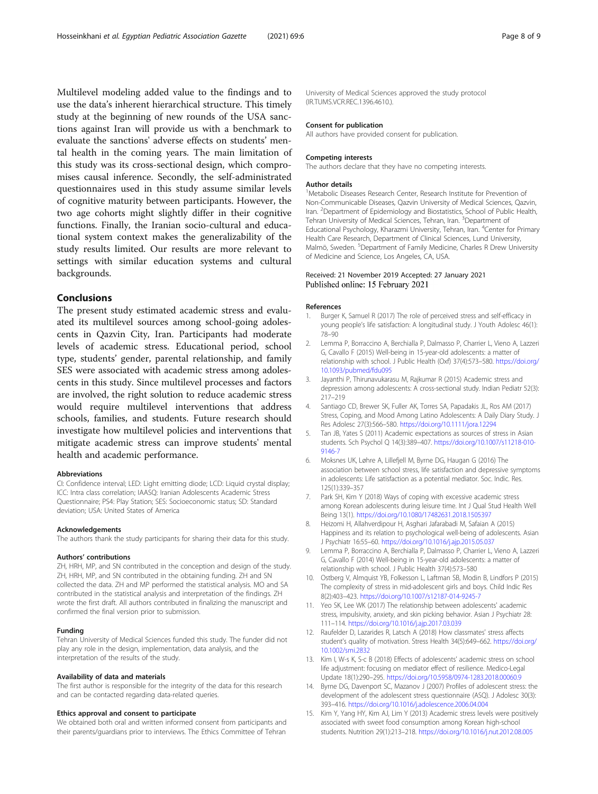<span id="page-7-0"></span>Multilevel modeling added value to the findings and to use the data's inherent hierarchical structure. This timely study at the beginning of new rounds of the USA sanctions against Iran will provide us with a benchmark to evaluate the sanctions' adverse effects on students' mental health in the coming years. The main limitation of this study was its cross-sectional design, which compromises causal inference. Secondly, the self-administrated questionnaires used in this study assume similar levels of cognitive maturity between participants. However, the two age cohorts might slightly differ in their cognitive functions. Finally, the Iranian socio-cultural and educational system context makes the generalizability of the study results limited. Our results are more relevant to settings with similar education systems and cultural backgrounds.

# Conclusions

The present study estimated academic stress and evaluated its multilevel sources among school-going adolescents in Qazvin City, Iran. Participants had moderate levels of academic stress. Educational period, school type, students' gender, parental relationship, and family SES were associated with academic stress among adolescents in this study. Since multilevel processes and factors are involved, the right solution to reduce academic stress would require multilevel interventions that address schools, families, and students. Future research should investigate how multilevel policies and interventions that mitigate academic stress can improve students' mental health and academic performance.

#### Abbreviations

CI: Confidence interval; LED: Light emitting diode; LCD: Liquid crystal display; ICC: Intra class correlation; IAASQ: Iranian Adolescents Academic Stress Questionnaire; PS4: Play Station; SES: Socioeconomic status; SD: Standard deviation; USA: United States of America

#### Acknowledgements

The authors thank the study participants for sharing their data for this study.

#### Authors' contributions

ZH, HRH, MP, and SN contributed in the conception and design of the study. ZH, HRH, MP, and SN contributed in the obtaining funding. ZH and SN collected the data. ZH and MP performed the statistical analysis. MO and SA contributed in the statistical analysis and interpretation of the findings. ZH wrote the first draft. All authors contributed in finalizing the manuscript and confirmed the final version prior to submission.

#### Funding

Tehran University of Medical Sciences funded this study. The funder did not play any role in the design, implementation, data analysis, and the interpretation of the results of the study.

#### Availability of data and materials

The first author is responsible for the integrity of the data for this research and can be contacted regarding data-related queries.

#### Ethics approval and consent to participate

We obtained both oral and written informed consent from participants and their parents/guardians prior to interviews. The Ethics Committee of Tehran

University of Medical Sciences approved the study protocol (IR.TUMS.VCR.REC.1396.4610.).

#### Consent for publication

All authors have provided consent for publication.

#### Competing interests

The authors declare that they have no competing interests.

#### Author details

<sup>1</sup>Metabolic Diseases Research Center, Research Institute for Prevention of Non-Communicable Diseases, Qazvin University of Medical Sciences, Qazvin, Iran. <sup>2</sup> Department of Epidemiology and Biostatistics, School of Public Health Tehran University of Medical Sciences, Tehran, Iran. <sup>3</sup>Department of Educational Psychology, Kharazmi University, Tehran, Iran. <sup>4</sup>Center for Primary Health Care Research, Department of Clinical Sciences, Lund University, Malmö, Sweden. <sup>5</sup>Department of Family Medicine, Charles R Drew University of Medicine and Science, Los Angeles, CA, USA.

### Received: 21 November 2019 Accepted: 27 January 2021 Published online: 15 February 2021

#### References

- Burger K, Samuel R (2017) The role of perceived stress and self-efficacy in young people's life satisfaction: A longitudinal study. J Youth Adolesc 46(1): 78–90
- 2. Lemma P, Borraccino A, Berchialla P, Dalmasso P, Charrier L, Vieno A, Lazzeri G, Cavallo F (2015) Well-being in 15-year-old adolescents: a matter of relationship with school. J Public Health (Oxf) 37(4):573–580. [https://doi.org/](https://doi.org/10.1093/pubmed/fdu095) [10.1093/pubmed/fdu095](https://doi.org/10.1093/pubmed/fdu095)
- 3. Jayanthi P, Thirunavukarasu M, Rajkumar R (2015) Academic stress and depression among adolescents: A cross-sectional study. Indian Pediatr 52(3): 217–219
- 4. Santiago CD, Brewer SK, Fuller AK, Torres SA, Papadakis JL, Ros AM (2017) Stress, Coping, and Mood Among Latino Adolescents: A Daily Diary Study. J Res Adolesc 27(3):566–580. <https://doi.org/10.1111/jora.12294>
- 5. Tan JB, Yates S (2011) Academic expectations as sources of stress in Asian students. Sch Psychol Q 14(3):389–407. [https://doi.org/10.1007/s11218-010-](https://doi.org/10.1007/s11218-010-9146-7) [9146-7](https://doi.org/10.1007/s11218-010-9146-7)
- 6. Moksnes UK, Løhre A, Lillefjell M, Byrne DG, Haugan G (2016) The association between school stress, life satisfaction and depressive symptoms in adolescents: Life satisfaction as a potential mediator. Soc. Indic. Res. 125(1):339–357
- 7. Park SH, Kim Y (2018) Ways of coping with excessive academic stress among Korean adolescents during leisure time. Int J Qual Stud Health Well Being 13(1). <https://doi.org/10.1080/17482631.2018.1505397>
- 8. Heizomi H, Allahverdipour H, Asghari Jafarabadi M, Safaian A (2015) Happiness and its relation to psychological well-being of adolescents. Asian J Psychiatr 16:55–60. <https://doi.org/10.1016/j.ajp.2015.05.037>
- 9. Lemma P, Borraccino A, Berchialla P, Dalmasso P, Charrier L, Vieno A, Lazzeri G, Cavallo F (2014) Well-being in 15-year-old adolescents: a matter of relationship with school. J Public Health 37(4):573–580
- 10. Ostberg V, Almquist YB, Folkesson L, Laftman SB, Modin B, Lindfors P (2015) The complexity of stress in mid-adolescent girls and boys. Child Indic Res 8(2):403–423. <https://doi.org/10.1007/s12187-014-9245-7>
- 11. Yeo SK, Lee WK (2017) The relationship between adolescents' academic stress, impulsivity, anxiety, and skin picking behavior. Asian J Psychiatr 28: 111–114. <https://doi.org/10.1016/j.ajp.2017.03.039>
- 12. Raufelder D, Lazarides R, Latsch A (2018) How classmates' stress affects student's quality of motivation. Stress Health 34(5):649–662. [https://doi.org/](https://doi.org/10.1002/smi.2832) [10.1002/smi.2832](https://doi.org/10.1002/smi.2832)
- 13. Kim I, W-s K, S-c B (2018) Effects of adolescents' academic stress on school life adjustment: focusing on mediator effect of resilience. Medico-Legal Update 18(1):290–295. <https://doi.org/10.5958/0974-1283.2018.00060.9>
- 14. Byrne DG, Davenport SC, Mazanov J (2007) Profiles of adolescent stress: the development of the adolescent stress questionnaire (ASQ). J Adolesc 30(3): 393–416. <https://doi.org/10.1016/j.adolescence.2006.04.004>
- 15. Kim Y, Yang HY, Kim AJ, Lim Y (2013) Academic stress levels were positively associated with sweet food consumption among Korean high-school students. Nutrition 29(1):213–218. <https://doi.org/10.1016/j.nut.2012.08.005>